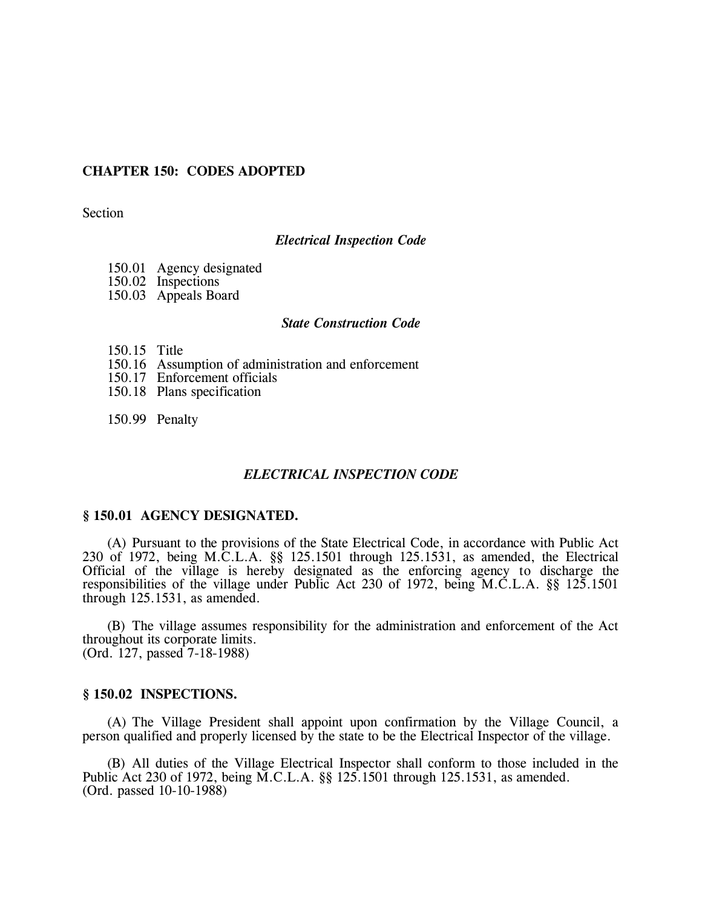# **CHAPTER 150: CODES ADOPTED**

Section

### *Electrical Inspection Code*

- 150.01 Agency designated
- 150.02 Inspections
- 150.03 Appeals Board

# *State Construction Code*

- 150.15 Title
- 150.16 Assumption of administration and enforcement
- 150.17 Enforcement officials
- 150.18 Plans specification

150.99 Penalty

### *ELECTRICAL INSPECTION CODE*

#### **§ 150.01 AGENCY DESIGNATED.**

(A) Pursuant to the provisions of the State Electrical Code, in accordance with Public Act 230 of 1972, being M.C.L.A. §§ 125.1501 through 125.1531, as amended, the Electrical Official of the village is hereby designated as the enforcing agency to discharge the responsibilities of the village under Public Act 230 of 1972, being M.C.L.A. §§ 125.1501 through 125.1531, as amended.

(B) The village assumes responsibility for the administration and enforcement of the Act throughout its corporate limits. (Ord. 127, passed 7-18-1988)

### **§ 150.02 INSPECTIONS.**

(A) The Village President shall appoint upon confirmation by the Village Council, a person qualified and properly licensed by the state to be the Electrical Inspector of the village.

(B) All duties of the Village Electrical Inspector shall conform to those included in the Public Act 230 of 1972, being M.C.L.A. §§ 125.1501 through 125.1531, as amended. (Ord. passed 10-10-1988)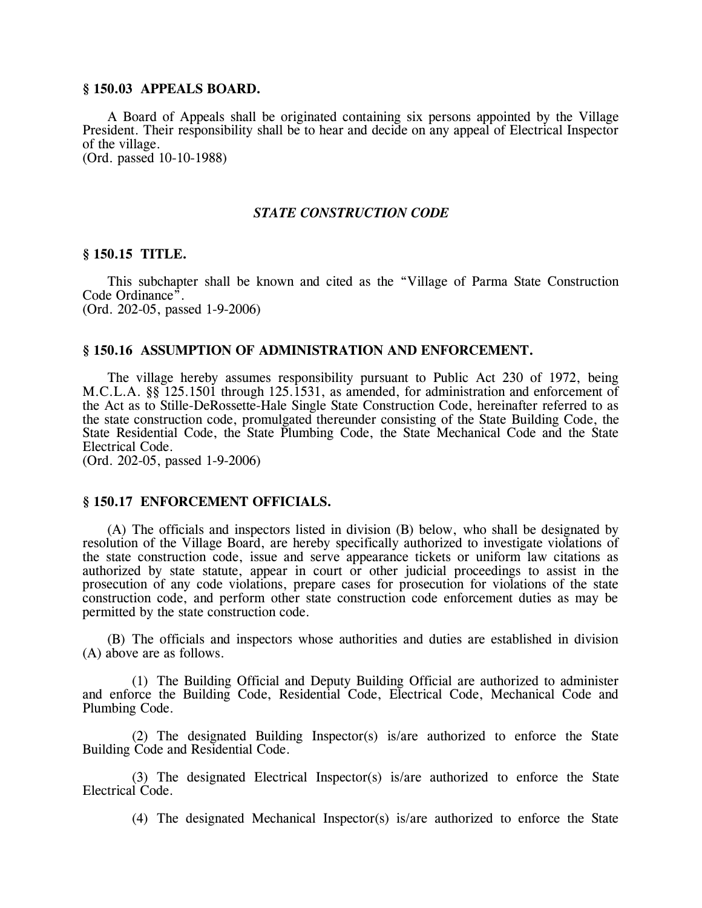## **§ 150.03 APPEALS BOARD.**

A Board of Appeals shall be originated containing six persons appointed by the Village President. Their responsibility shall be to hear and decide on any appeal of Electrical Inspector of the village. (Ord. passed 10-10-1988)

# *STATE CONSTRUCTION CODE*

# **§ 150.15 TITLE.**

This subchapter shall be known and cited as the "Village of Parma State Construction Code Ordinance". (Ord. 202-05, passed 1-9-2006)

#### **§ 150.16 ASSUMPTION OF ADMINISTRATION AND ENFORCEMENT.**

The village hereby assumes responsibility pursuant to Public Act 230 of 1972, being M.C.L.A. §§ 125.1501 through 125.1531, as amended, for administration and enforcement of the Act as to Stille-DeRossette-Hale Single State Construction Code, hereinafter referred to as the state construction code, promulgated thereunder consisting of the State Building Code, the State Residential Code, the State Plumbing Code, the State Mechanical Code and the State Electrical Code.

(Ord. 202-05, passed 1-9-2006)

### **§ 150.17 ENFORCEMENT OFFICIALS.**

(A) The officials and inspectors listed in division (B) below, who shall be designated by resolution of the Village Board, are hereby specifically authorized to investigate violations of the state construction code, issue and serve appearance tickets or uniform law citations as authorized by state statute, appear in court or other judicial proceedings to assist in the prosecution of any code violations, prepare cases for prosecution for violations of the state construction code, and perform other state construction code enforcement duties as may be permitted by the state construction code.

(B) The officials and inspectors whose authorities and duties are established in division (A) above are as follows.

(1) The Building Official and Deputy Building Official are authorized to administer and enforce the Building Code, Residential Code, Electrical Code, Mechanical Code and Plumbing Code.

(2) The designated Building Inspector(s) is/are authorized to enforce the State Building Code and Residential Code.

(3) The designated Electrical Inspector(s) is/are authorized to enforce the State Electrical Code.

(4) The designated Mechanical Inspector(s) is/are authorized to enforce the State